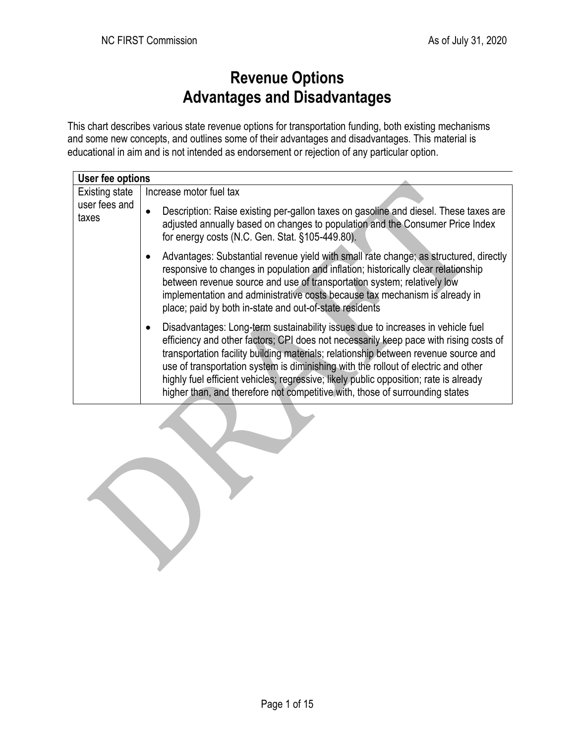## **Revenue Options Advantages and Disadvantages**

This chart describes various state revenue options for transportation funding, both existing mechanisms and some new concepts, and outlines some of their advantages and disadvantages. This material is educational in aim and is not intended as endorsement or rejection of any particular option.

| User fee options                                |                                                                                                                                                                                                                                                                                                                                                                                                                                                                                                                                |  |
|-------------------------------------------------|--------------------------------------------------------------------------------------------------------------------------------------------------------------------------------------------------------------------------------------------------------------------------------------------------------------------------------------------------------------------------------------------------------------------------------------------------------------------------------------------------------------------------------|--|
| <b>Existing state</b><br>user fees and<br>taxes | Increase motor fuel tax                                                                                                                                                                                                                                                                                                                                                                                                                                                                                                        |  |
|                                                 | Description: Raise existing per-gallon taxes on gasoline and diesel. These taxes are<br>adjusted annually based on changes to population and the Consumer Price Index<br>for energy costs (N.C. Gen. Stat. §105-449.80).                                                                                                                                                                                                                                                                                                       |  |
|                                                 | Advantages: Substantial revenue yield with small rate change; as structured, directly<br>responsive to changes in population and inflation; historically clear relationship<br>between revenue source and use of transportation system; relatively low<br>implementation and administrative costs because tax mechanism is already in<br>place; paid by both in-state and out-of-state residents                                                                                                                               |  |
|                                                 | Disadvantages: Long-term sustainability issues due to increases in vehicle fuel<br>efficiency and other factors; CPI does not necessarily keep pace with rising costs of<br>transportation facility building materials; relationship between revenue source and<br>use of transportation system is diminishing with the rollout of electric and other<br>highly fuel efficient vehicles; regressive; likely public opposition; rate is already<br>higher than, and therefore not competitive with, those of surrounding states |  |

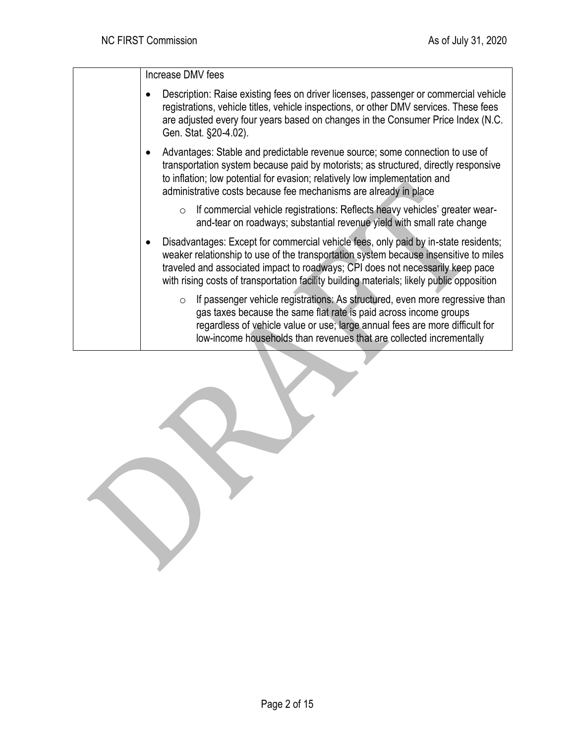Increase DMV fees

- Description: Raise existing fees on driver licenses, passenger or commercial vehicle registrations, vehicle titles, vehicle inspections, or other DMV services. These fees are adjusted every four years based on changes in the Consumer Price Index (N.C. Gen. Stat. §20-4.02).
- Advantages: Stable and predictable revenue source; some connection to use of transportation system because paid by motorists; as structured, directly responsive to inflation; low potential for evasion; relatively low implementation and administrative costs because fee mechanisms are already in place
	- $\circ$  If commercial vehicle registrations: Reflects heavy vehicles' greater wearand-tear on roadways; substantial revenue yield with small rate change
- Disadvantages: Except for commercial vehicle fees, only paid by in-state residents; weaker relationship to use of the transportation system because insensitive to miles traveled and associated impact to roadways; CPI does not necessarily keep pace with rising costs of transportation facility building materials; likely public opposition
	- o If passenger vehicle registrations: As structured, even more regressive than gas taxes because the same flat rate is paid across income groups regardless of vehicle value or use; large annual fees are more difficult for low-income households than revenues that are collected incrementally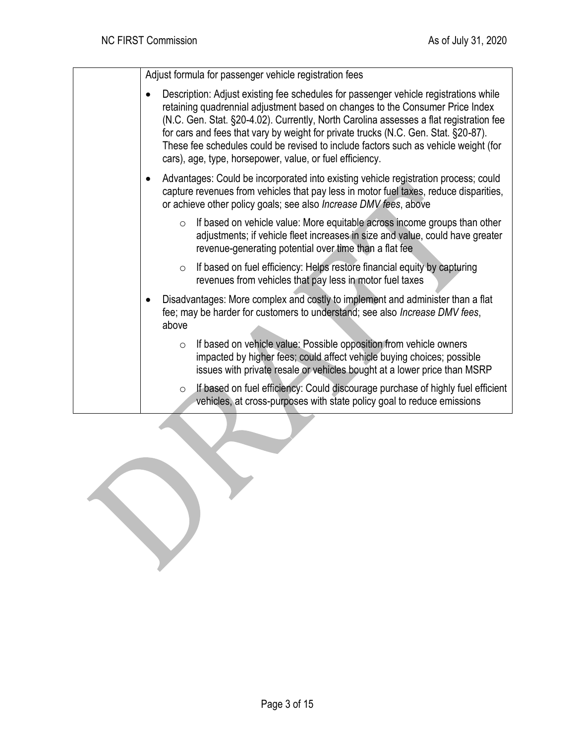Adjust formula for passenger vehicle registration fees

• Description: Adjust existing fee schedules for passenger vehicle registrations while retaining quadrennial adjustment based on changes to the Consumer Price Index (N.C. Gen. Stat. §20-4.02). Currently, North Carolina assesses a flat registration fee for cars and fees that vary by weight for private trucks (N.C. Gen. Stat. §20-87). These fee schedules could be revised to include factors such as vehicle weight (for cars), age, type, horsepower, value, or fuel efficiency. • Advantages: Could be incorporated into existing vehicle registration process; could capture revenues from vehicles that pay less in motor fuel taxes, reduce disparities, or achieve other policy goals; see also *Increase DMV fees*, above  $\circ$  If based on vehicle value: More equitable across income groups than other adjustments; if vehicle fleet increases in size and value, could have greater revenue-generating potential over time than a flat fee  $\circ$  If based on fuel efficiency: Helps restore financial equity by capturing revenues from vehicles that pay less in motor fuel taxes • Disadvantages: More complex and costly to implement and administer than a flat fee; may be harder for customers to understand; see also *Increase DMV fees*, above  $\circ$  If based on vehicle value: Possible opposition from vehicle owners impacted by higher fees; could affect vehicle buying choices; possible issues with private resale or vehicles bought at a lower price than MSRP If based on fuel efficiency: Could discourage purchase of highly fuel efficient vehicles, at cross-purposes with state policy goal to reduce emissions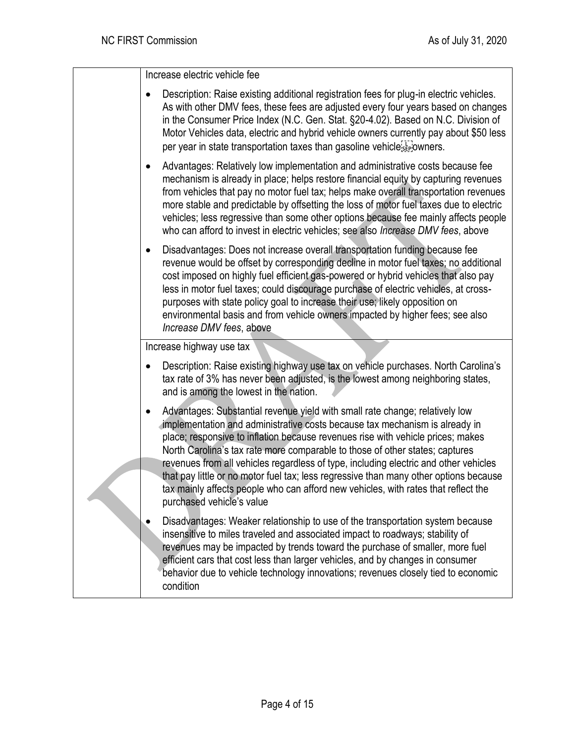Increase electric vehicle fee

| Description: Raise existing additional registration fees for plug-in electric vehicles.<br>$\bullet$<br>As with other DMV fees, these fees are adjusted every four years based on changes<br>in the Consumer Price Index (N.C. Gen. Stat. §20-4.02). Based on N.C. Division of<br>Motor Vehicles data, electric and hybrid vehicle owners currently pay about \$50 less<br>per year in state transportation taxes than gasoline vehicle sepowners.                                                                                                                                                                                      |
|-----------------------------------------------------------------------------------------------------------------------------------------------------------------------------------------------------------------------------------------------------------------------------------------------------------------------------------------------------------------------------------------------------------------------------------------------------------------------------------------------------------------------------------------------------------------------------------------------------------------------------------------|
| Advantages: Relatively low implementation and administrative costs because fee<br>$\bullet$<br>mechanism is already in place; helps restore financial equity by capturing revenues<br>from vehicles that pay no motor fuel tax; helps make overall transportation revenues<br>more stable and predictable by offsetting the loss of motor fuel taxes due to electric<br>vehicles; less regressive than some other options because fee mainly affects people<br>who can afford to invest in electric vehicles; see also <i>Increase DMV fees</i> , above                                                                                 |
| Disadvantages: Does not increase overall transportation funding because fee<br>$\bullet$<br>revenue would be offset by corresponding decline in motor fuel taxes; no additional<br>cost imposed on highly fuel efficient gas-powered or hybrid vehicles that also pay<br>less in motor fuel taxes; could discourage purchase of electric vehicles, at cross-<br>purposes with state policy goal to increase their use; likely opposition on<br>environmental basis and from vehicle owners impacted by higher fees; see also<br>Increase DMV fees, above                                                                                |
| Increase highway use tax                                                                                                                                                                                                                                                                                                                                                                                                                                                                                                                                                                                                                |
|                                                                                                                                                                                                                                                                                                                                                                                                                                                                                                                                                                                                                                         |
| Description: Raise existing highway use tax on vehicle purchases. North Carolina's<br>٠<br>tax rate of 3% has never been adjusted, is the lowest among neighboring states,<br>and is among the lowest in the nation.                                                                                                                                                                                                                                                                                                                                                                                                                    |
| Advantages: Substantial revenue yield with small rate change; relatively low<br>٠<br>implementation and administrative costs because tax mechanism is already in<br>place; responsive to inflation because revenues rise with vehicle prices; makes<br>North Carolina's tax rate more comparable to those of other states; captures<br>revenues from all vehicles regardless of type, including electric and other vehicles<br>that pay little or no motor fuel tax; less regressive than many other options because<br>tax mainly affects people who can afford new vehicles, with rates that reflect the<br>purchased vehicle's value |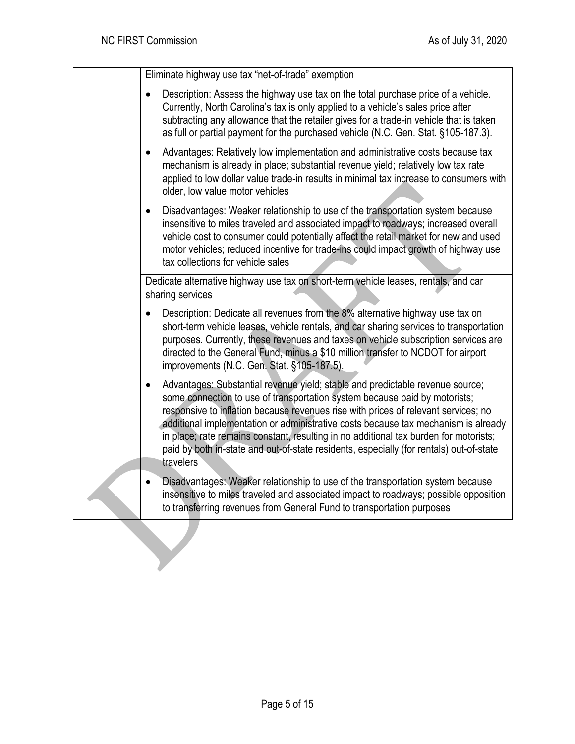Eliminate highway use tax "net-of-trade" exemption

- Description: Assess the highway use tax on the total purchase price of a vehicle. Currently, North Carolina's tax is only applied to a vehicle's sales price after subtracting any allowance that the retailer gives for a trade-in vehicle that is taken as full or partial payment for the purchased vehicle (N.C. Gen. Stat. §105-187.3).
- Advantages: Relatively low implementation and administrative costs because tax mechanism is already in place; substantial revenue yield; relatively low tax rate applied to low dollar value trade-in results in minimal tax increase to consumers with older, low value motor vehicles
- Disadvantages: Weaker relationship to use of the transportation system because insensitive to miles traveled and associated impact to roadways; increased overall vehicle cost to consumer could potentially affect the retail market for new and used motor vehicles; reduced incentive for trade-ins could impact growth of highway use tax collections for vehicle sales

Dedicate alternative highway use tax on short-term vehicle leases, rentals, and car sharing services

- Description: Dedicate all revenues from the 8% alternative highway use tax on short-term vehicle leases, vehicle rentals, and car sharing services to transportation purposes. Currently, these revenues and taxes on vehicle subscription services are directed to the General Fund, minus a \$10 million transfer to NCDOT for airport improvements (N.C. Gen. Stat. §105-187.5).
- Advantages: Substantial revenue yield; stable and predictable revenue source; some connection to use of transportation system because paid by motorists; responsive to inflation because revenues rise with prices of relevant services; no additional implementation or administrative costs because tax mechanism is already in place; rate remains constant, resulting in no additional tax burden for motorists; paid by both in-state and out-of-state residents, especially (for rentals) out-of-state travelers
- Disadvantages: Weaker relationship to use of the transportation system because insensitive to miles traveled and associated impact to roadways; possible opposition to transferring revenues from General Fund to transportation purposes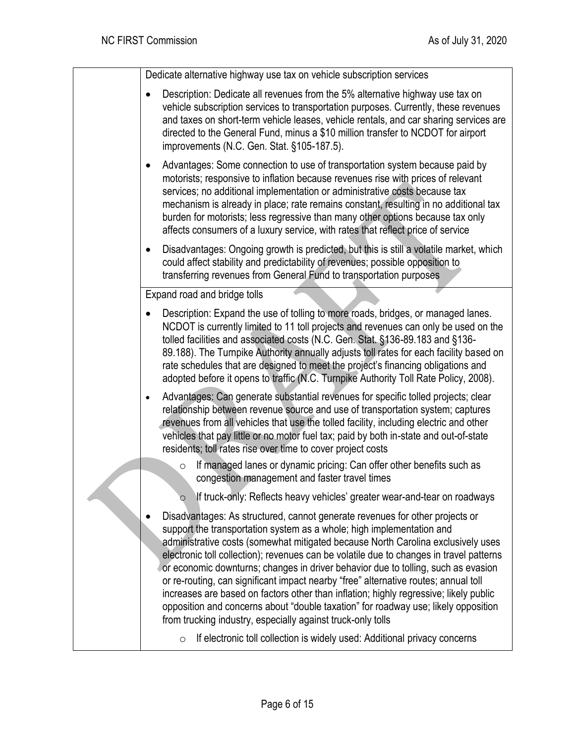Dedicate alternative highway use tax on vehicle subscription services • Description: Dedicate all revenues from the 5% alternative highway use tax on vehicle subscription services to transportation purposes. Currently, these revenues and taxes on short-term vehicle leases, vehicle rentals, and car sharing services are directed to the General Fund, minus a \$10 million transfer to NCDOT for airport improvements (N.C. Gen. Stat. §105-187.5). • Advantages: Some connection to use of transportation system because paid by motorists; responsive to inflation because revenues rise with prices of relevant services; no additional implementation or administrative costs because tax mechanism is already in place; rate remains constant, resulting in no additional tax burden for motorists; less regressive than many other options because tax only affects consumers of a luxury service, with rates that reflect price of service • Disadvantages: Ongoing growth is predicted, but this is still a volatile market, which could affect stability and predictability of revenues; possible opposition to transferring revenues from General Fund to transportation purposes Expand road and bridge tolls • Description: Expand the use of tolling to more roads, bridges, or managed lanes. NCDOT is currently limited to 11 toll projects and revenues can only be used on the tolled facilities and associated costs (N.C. Gen. Stat. §136-89.183 and §136- 89.188). The Turnpike Authority annually adjusts toll rates for each facility based on rate schedules that are designed to meet the project's financing obligations and adopted before it opens to traffic (N.C. Turnpike Authority Toll Rate Policy, 2008). • Advantages: Can generate substantial revenues for specific tolled projects; clear relationship between revenue source and use of transportation system; captures revenues from all vehicles that use the tolled facility, including electric and other vehicles that pay little or no motor fuel tax; paid by both in-state and out-of-state residents; toll rates rise over time to cover project costs  $\circ$  If managed lanes or dynamic pricing: Can offer other benefits such as congestion management and faster travel times  $\circ$  If truck-only: Reflects heavy vehicles' greater wear-and-tear on roadways • Disadvantages: As structured, cannot generate revenues for other projects or support the transportation system as a whole; high implementation and administrative costs (somewhat mitigated because North Carolina exclusively uses electronic toll collection); revenues can be volatile due to changes in travel patterns or economic downturns; changes in driver behavior due to tolling, such as evasion or re-routing, can significant impact nearby "free" alternative routes; annual toll increases are based on factors other than inflation; highly regressive; likely public opposition and concerns about "double taxation" for roadway use; likely opposition from trucking industry, especially against truck-only tolls o If electronic toll collection is widely used: Additional privacy concerns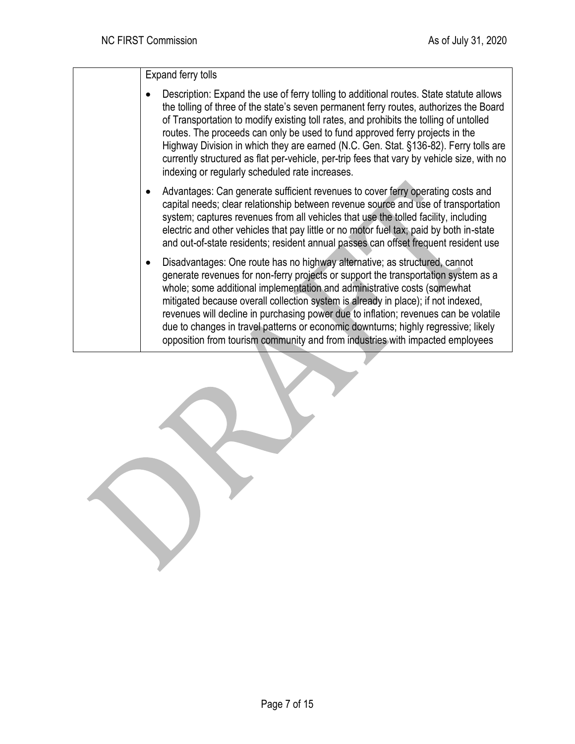Expand ferry tolls

- Description: Expand the use of ferry tolling to additional routes. State statute allows the tolling of three of the state's seven permanent ferry routes, authorizes the Board of Transportation to modify existing toll rates, and prohibits the tolling of untolled routes. The proceeds can only be used to fund approved ferry projects in the Highway Division in which they are earned (N.C. Gen. Stat. §136-82). Ferry tolls are currently structured as flat per-vehicle, per-trip fees that vary by vehicle size, with no indexing or regularly scheduled rate increases.
- Advantages: Can generate sufficient revenues to cover ferry operating costs and capital needs; clear relationship between revenue source and use of transportation system; captures revenues from all vehicles that use the tolled facility, including electric and other vehicles that pay little or no motor fuel tax; paid by both in-state and out-of-state residents; resident annual passes can offset frequent resident use
- Disadvantages: One route has no highway alternative; as structured, cannot generate revenues for non-ferry projects or support the transportation system as a whole; some additional implementation and administrative costs (somewhat mitigated because overall collection system is already in place); if not indexed, revenues will decline in purchasing power due to inflation; revenues can be volatile due to changes in travel patterns or economic downturns; highly regressive; likely opposition from tourism community and from industries with impacted employees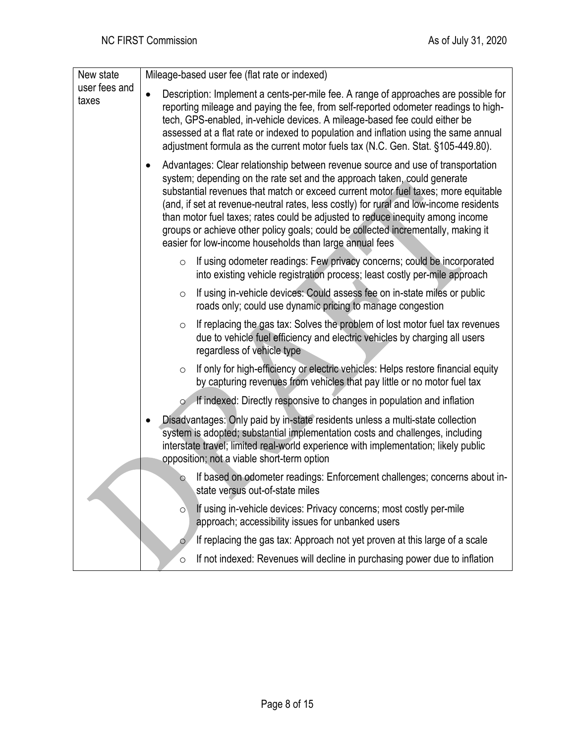| New state<br>user fees and<br>taxes | Mileage-based user fee (flat rate or indexed)                                                                                                                                                                                                                                                                                                                                                                                                                                                                                                                                 |
|-------------------------------------|-------------------------------------------------------------------------------------------------------------------------------------------------------------------------------------------------------------------------------------------------------------------------------------------------------------------------------------------------------------------------------------------------------------------------------------------------------------------------------------------------------------------------------------------------------------------------------|
|                                     | Description: Implement a cents-per-mile fee. A range of approaches are possible for<br>$\bullet$<br>reporting mileage and paying the fee, from self-reported odometer readings to high-<br>tech, GPS-enabled, in-vehicle devices. A mileage-based fee could either be<br>assessed at a flat rate or indexed to population and inflation using the same annual<br>adjustment formula as the current motor fuels tax (N.C. Gen. Stat. §105-449.80).                                                                                                                             |
|                                     | Advantages: Clear relationship between revenue source and use of transportation<br>system; depending on the rate set and the approach taken, could generate<br>substantial revenues that match or exceed current motor fuel taxes; more equitable<br>(and, if set at revenue-neutral rates, less costly) for rural and low-income residents<br>than motor fuel taxes; rates could be adjusted to reduce inequity among income<br>groups or achieve other policy goals; could be collected incrementally, making it<br>easier for low-income households than large annual fees |
|                                     | If using odometer readings: Few privacy concerns; could be incorporated<br>$\circ$<br>into existing vehicle registration process; least costly per-mile approach                                                                                                                                                                                                                                                                                                                                                                                                              |
|                                     | If using in-vehicle devices: Could assess fee on in-state miles or public<br>$\circ$<br>roads only; could use dynamic pricing to manage congestion                                                                                                                                                                                                                                                                                                                                                                                                                            |
|                                     | If replacing the gas tax: Solves the problem of lost motor fuel tax revenues<br>$\circ$<br>due to vehicle fuel efficiency and electric vehicles by charging all users<br>regardless of vehicle type                                                                                                                                                                                                                                                                                                                                                                           |
|                                     | If only for high-efficiency or electric vehicles: Helps restore financial equity<br>$\circ$<br>by capturing revenues from vehicles that pay little or no motor fuel tax                                                                                                                                                                                                                                                                                                                                                                                                       |
|                                     | If indexed: Directly responsive to changes in population and inflation<br>$\circ$                                                                                                                                                                                                                                                                                                                                                                                                                                                                                             |
|                                     | Disadvantages: Only paid by in-state residents unless a multi-state collection<br>system is adopted; substantial implementation costs and challenges, including<br>interstate travel; limited real-world experience with implementation; likely public<br>opposition; not a viable short-term option                                                                                                                                                                                                                                                                          |
|                                     | If based on odometer readings: Enforcement challenges; concerns about in-<br>$\circ$<br>state versus out-of-state miles                                                                                                                                                                                                                                                                                                                                                                                                                                                       |
|                                     | If using in-vehicle devices: Privacy concerns; most costly per-mile<br>$\circ$<br>approach; accessibility issues for unbanked users                                                                                                                                                                                                                                                                                                                                                                                                                                           |
|                                     | If replacing the gas tax: Approach not yet proven at this large of a scale<br>$\circ$                                                                                                                                                                                                                                                                                                                                                                                                                                                                                         |
|                                     | If not indexed: Revenues will decline in purchasing power due to inflation<br>$\circ$                                                                                                                                                                                                                                                                                                                                                                                                                                                                                         |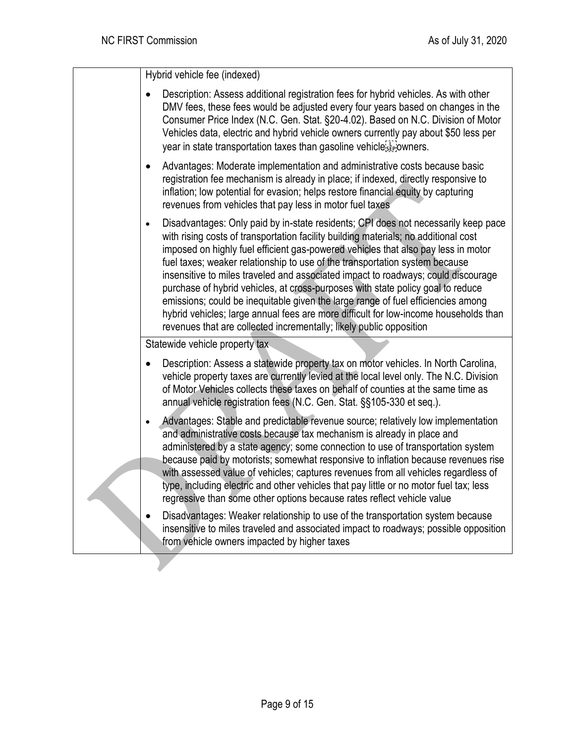Hybrid vehicle fee (indexed)

| Description: Assess additional registration fees for hybrid vehicles. As with other<br>DMV fees, these fees would be adjusted every four years based on changes in the<br>Consumer Price Index (N.C. Gen. Stat. §20-4.02). Based on N.C. Division of Motor<br>Vehicles data, electric and hybrid vehicle owners currently pay about \$50 less per<br>year in state transportation taxes than gasoline vehiclesserowners.                                                                                                                                                                                                                                                                                                                                                              |
|---------------------------------------------------------------------------------------------------------------------------------------------------------------------------------------------------------------------------------------------------------------------------------------------------------------------------------------------------------------------------------------------------------------------------------------------------------------------------------------------------------------------------------------------------------------------------------------------------------------------------------------------------------------------------------------------------------------------------------------------------------------------------------------|
| Advantages: Moderate implementation and administrative costs because basic<br>$\bullet$<br>registration fee mechanism is already in place; if indexed, directly responsive to<br>inflation; low potential for evasion; helps restore financial equity by capturing<br>revenues from vehicles that pay less in motor fuel taxes                                                                                                                                                                                                                                                                                                                                                                                                                                                        |
| Disadvantages: Only paid by in-state residents; CPI does not necessarily keep pace<br>$\bullet$<br>with rising costs of transportation facility building materials; no additional cost<br>imposed on highly fuel efficient gas-powered vehicles that also pay less in motor<br>fuel taxes; weaker relationship to use of the transportation system because<br>insensitive to miles traveled and associated impact to roadways; could discourage<br>purchase of hybrid vehicles, at cross-purposes with state policy goal to reduce<br>emissions; could be inequitable given the large range of fuel efficiencies among<br>hybrid vehicles; large annual fees are more difficult for low-income households than<br>revenues that are collected incrementally; likely public opposition |
| Statewide vehicle property tax                                                                                                                                                                                                                                                                                                                                                                                                                                                                                                                                                                                                                                                                                                                                                        |
| Description: Assess a statewide property tax on motor vehicles. In North Carolina,<br>$\bullet$<br>vehicle property taxes are currently levied at the local level only. The N.C. Division<br>of Motor Vehicles collects these taxes on behalf of counties at the same time as<br>annual vehicle registration fees (N.C. Gen. Stat. §§105-330 et seq.).                                                                                                                                                                                                                                                                                                                                                                                                                                |
| Advantages: Stable and predictable revenue source; relatively low implementation<br>$\bullet$<br>and administrative costs because tax mechanism is already in place and<br>administered by a state agency; some connection to use of transportation system<br>because paid by motorists; somewhat responsive to inflation because revenues rise<br>with assessed value of vehicles; captures revenues from all vehicles regardless of<br>type, including electric and other vehicles that pay little or no motor fuel tax; less<br>regressive than some other options because rates reflect vehicle value                                                                                                                                                                             |
| Disadvantages: Weaker relationship to use of the transportation system because<br>insensitive to miles traveled and associated impact to roadways; possible opposition<br>from vehicle owners impacted by higher taxes                                                                                                                                                                                                                                                                                                                                                                                                                                                                                                                                                                |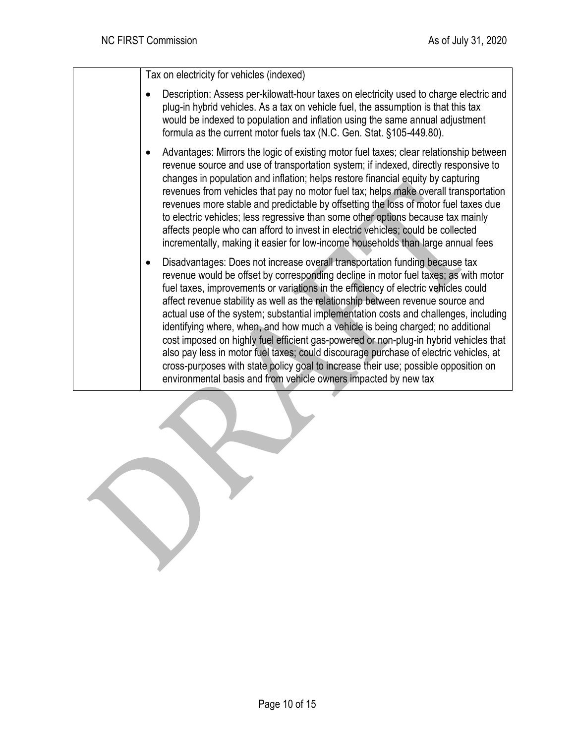Tax on electricity for vehicles (indexed)

- Description: Assess per-kilowatt-hour taxes on electricity used to charge electric and plug-in hybrid vehicles. As a tax on vehicle fuel, the assumption is that this tax would be indexed to population and inflation using the same annual adjustment formula as the current motor fuels tax (N.C. Gen. Stat. §105-449.80).
- Advantages: Mirrors the logic of existing motor fuel taxes; clear relationship between revenue source and use of transportation system; if indexed, directly responsive to changes in population and inflation; helps restore financial equity by capturing revenues from vehicles that pay no motor fuel tax; helps make overall transportation revenues more stable and predictable by offsetting the loss of motor fuel taxes due to electric vehicles; less regressive than some other options because tax mainly affects people who can afford to invest in electric vehicles; could be collected incrementally, making it easier for low-income households than large annual fees
- Disadvantages: Does not increase overall transportation funding because tax revenue would be offset by corresponding decline in motor fuel taxes; as with motor fuel taxes, improvements or variations in the efficiency of electric vehicles could affect revenue stability as well as the relationship between revenue source and actual use of the system; substantial implementation costs and challenges, including identifying where, when, and how much a vehicle is being charged; no additional cost imposed on highly fuel efficient gas-powered or non-plug-in hybrid vehicles that also pay less in motor fuel taxes; could discourage purchase of electric vehicles, at cross-purposes with state policy goal to increase their use; possible opposition on environmental basis and from vehicle owners impacted by new tax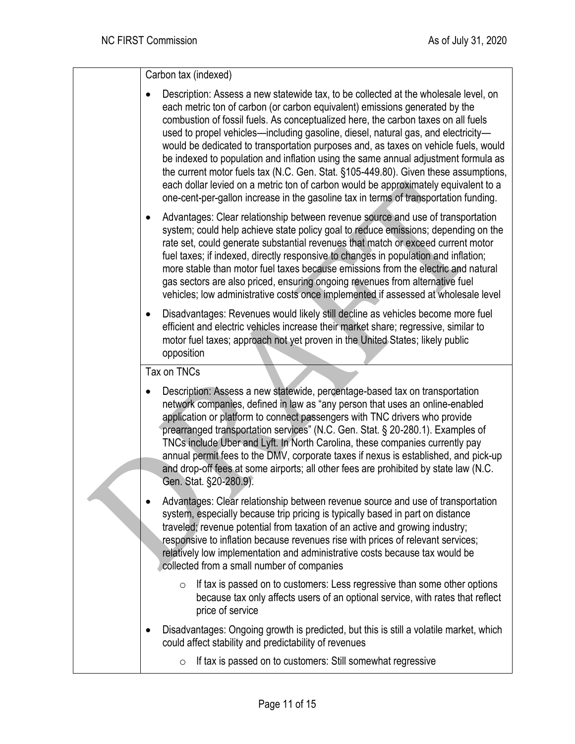Carbon tax (indexed)

• Description: Assess a new statewide tax, to be collected at the wholesale level, on each metric ton of carbon (or carbon equivalent) emissions generated by the combustion of fossil fuels. As conceptualized here, the carbon taxes on all fuels used to propel vehicles—including gasoline, diesel, natural gas, and electricity would be dedicated to transportation purposes and, as taxes on vehicle fuels, would be indexed to population and inflation using the same annual adjustment formula as the current motor fuels tax (N.C. Gen. Stat. §105-449.80). Given these assumptions, each dollar levied on a metric ton of carbon would be approximately equivalent to a one-cent-per-gallon increase in the gasoline tax in terms of transportation funding. • Advantages: Clear relationship between revenue source and use of transportation system; could help achieve state policy goal to reduce emissions; depending on the rate set, could generate substantial revenues that match or exceed current motor fuel taxes; if indexed, directly responsive to changes in population and inflation; more stable than motor fuel taxes because emissions from the electric and natural gas sectors are also priced, ensuring ongoing revenues from alternative fuel vehicles; low administrative costs once implemented if assessed at wholesale level • Disadvantages: Revenues would likely still decline as vehicles become more fuel efficient and electric vehicles increase their market share; regressive, similar to motor fuel taxes; approach not yet proven in the United States; likely public opposition Tax on TNCs • Description: Assess a new statewide, percentage-based tax on transportation network companies, defined in law as "any person that uses an online-enabled application or platform to connect passengers with TNC drivers who provide prearranged transportation services" (N.C. Gen. Stat. § 20-280.1). Examples of TNCs include Uber and Lyft. In North Carolina, these companies currently pay annual permit fees to the DMV, corporate taxes if nexus is established, and pick-up and drop-off fees at some airports; all other fees are prohibited by state law (N.C. Gen. Stat. §20-280.9). • Advantages: Clear relationship between revenue source and use of transportation system, especially because trip pricing is typically based in part on distance traveled; revenue potential from taxation of an active and growing industry; responsive to inflation because revenues rise with prices of relevant services; relatively low implementation and administrative costs because tax would be collected from a small number of companies  $\circ$  If tax is passed on to customers: Less regressive than some other options because tax only affects users of an optional service, with rates that reflect price of service • Disadvantages: Ongoing growth is predicted, but this is still a volatile market, which could affect stability and predictability of revenues o If tax is passed on to customers: Still somewhat regressive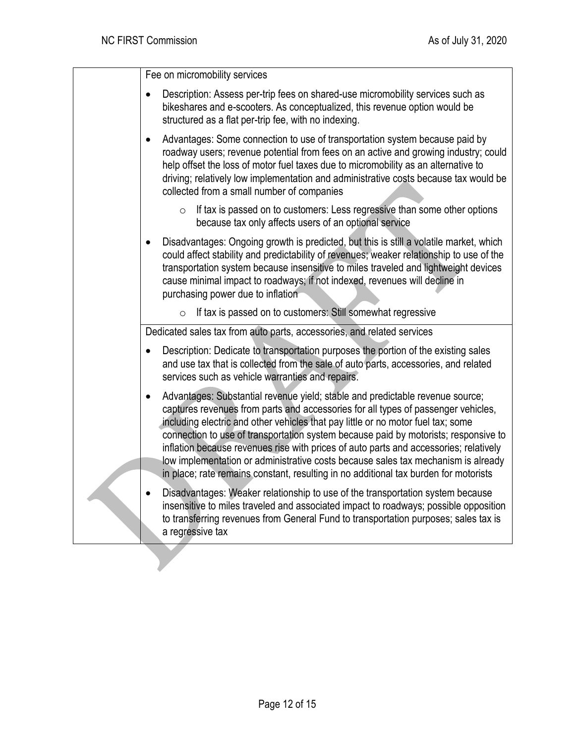Fee on micromobility services

- Description: Assess per-trip fees on shared-use micromobility services such as bikeshares and e-scooters. As conceptualized, this revenue option would be structured as a flat per-trip fee, with no indexing.
- Advantages: Some connection to use of transportation system because paid by roadway users; revenue potential from fees on an active and growing industry; could help offset the loss of motor fuel taxes due to micromobility as an alternative to driving; relatively low implementation and administrative costs because tax would be collected from a small number of companies
	- $\circ$  If tax is passed on to customers: Less regressive than some other options because tax only affects users of an optional service
- Disadvantages: Ongoing growth is predicted, but this is still a volatile market, which could affect stability and predictability of revenues; weaker relationship to use of the transportation system because insensitive to miles traveled and lightweight devices cause minimal impact to roadways; if not indexed, revenues will decline in purchasing power due to inflation
	- $\circ$  If tax is passed on to customers: Still somewhat regressive

Dedicated sales tax from auto parts, accessories, and related services

- Description: Dedicate to transportation purposes the portion of the existing sales and use tax that is collected from the sale of auto parts, accessories, and related services such as vehicle warranties and repairs.
- Advantages: Substantial revenue yield; stable and predictable revenue source; captures revenues from parts and accessories for all types of passenger vehicles, including electric and other vehicles that pay little or no motor fuel tax; some connection to use of transportation system because paid by motorists; responsive to inflation because revenues rise with prices of auto parts and accessories; relatively low implementation or administrative costs because sales tax mechanism is already in place; rate remains constant, resulting in no additional tax burden for motorists
- Disadvantages: Weaker relationship to use of the transportation system because insensitive to miles traveled and associated impact to roadways; possible opposition to transferring revenues from General Fund to transportation purposes; sales tax is a regressive tax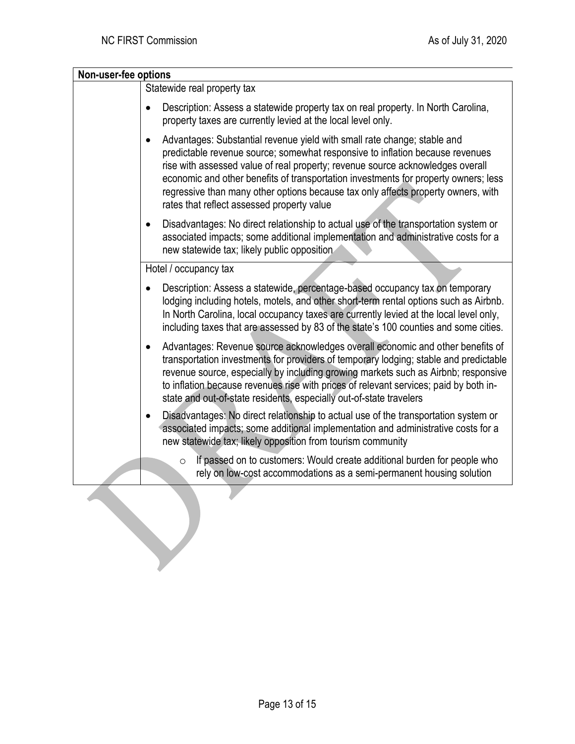| Non-user-fee options |                                                                                                                                                                                                                                                                                                                                                                                                                                                                                    |
|----------------------|------------------------------------------------------------------------------------------------------------------------------------------------------------------------------------------------------------------------------------------------------------------------------------------------------------------------------------------------------------------------------------------------------------------------------------------------------------------------------------|
|                      | Statewide real property tax                                                                                                                                                                                                                                                                                                                                                                                                                                                        |
|                      | Description: Assess a statewide property tax on real property. In North Carolina,<br>property taxes are currently levied at the local level only.                                                                                                                                                                                                                                                                                                                                  |
|                      | Advantages: Substantial revenue yield with small rate change; stable and<br>$\bullet$<br>predictable revenue source; somewhat responsive to inflation because revenues<br>rise with assessed value of real property; revenue source acknowledges overall<br>economic and other benefits of transportation investments for property owners; less<br>regressive than many other options because tax only affects property owners, with<br>rates that reflect assessed property value |
|                      | Disadvantages: No direct relationship to actual use of the transportation system or<br>$\bullet$<br>associated impacts; some additional implementation and administrative costs for a<br>new statewide tax; likely public opposition                                                                                                                                                                                                                                               |
|                      | Hotel / occupancy tax                                                                                                                                                                                                                                                                                                                                                                                                                                                              |
|                      | Description: Assess a statewide, percentage-based occupancy tax on temporary<br>lodging including hotels, motels, and other short-term rental options such as Airbnb.<br>In North Carolina, local occupancy taxes are currently levied at the local level only,<br>including taxes that are assessed by 83 of the state's 100 counties and some cities.                                                                                                                            |
|                      | Advantages: Revenue source acknowledges overall economic and other benefits of<br>٠<br>transportation investments for providers of temporary lodging; stable and predictable<br>revenue source, especially by including growing markets such as Airbnb; responsive<br>to inflation because revenues rise with prices of relevant services; paid by both in-<br>state and out-of-state residents, especially out-of-state travelers                                                 |
|                      | Disadvantages: No direct relationship to actual use of the transportation system or<br>associated impacts; some additional implementation and administrative costs for a<br>new statewide tax; likely opposition from tourism community                                                                                                                                                                                                                                            |
|                      | If passed on to customers: Would create additional burden for people who<br>$\circ$<br>rely on low-cost accommodations as a semi-permanent housing solution                                                                                                                                                                                                                                                                                                                        |
|                      |                                                                                                                                                                                                                                                                                                                                                                                                                                                                                    |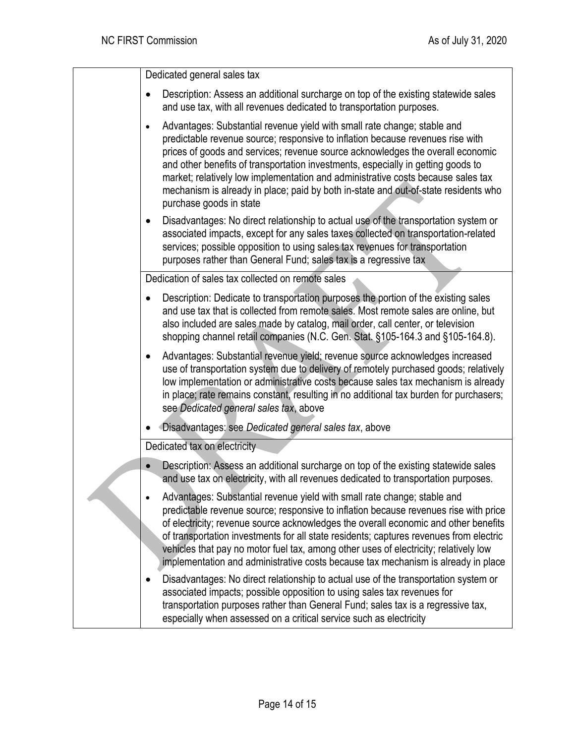Dedicated general sales tax • Description: Assess an additional surcharge on top of the existing statewide sales and use tax, with all revenues dedicated to transportation purposes. • Advantages: Substantial revenue yield with small rate change; stable and predictable revenue source; responsive to inflation because revenues rise with prices of goods and services; revenue source acknowledges the overall economic and other benefits of transportation investments, especially in getting goods to market; relatively low implementation and administrative costs because sales tax mechanism is already in place; paid by both in-state and out-of-state residents who purchase goods in state • Disadvantages: No direct relationship to actual use of the transportation system or associated impacts, except for any sales taxes collected on transportation-related services; possible opposition to using sales tax revenues for transportation purposes rather than General Fund; sales tax is a regressive tax Dedication of sales tax collected on remote sales • Description: Dedicate to transportation purposes the portion of the existing sales and use tax that is collected from remote sales. Most remote sales are online, but also included are sales made by catalog, mail order, call center, or television shopping channel retail companies (N.C. Gen. Stat. §105-164.3 and §105-164.8). • Advantages: Substantial revenue yield; revenue source acknowledges increased use of transportation system due to delivery of remotely purchased goods; relatively low implementation or administrative costs because sales tax mechanism is already in place; rate remains constant, resulting in no additional tax burden for purchasers; see *Dedicated general sales tax*, above • Disadvantages: see *Dedicated general sales tax*, above Dedicated tax on electricity • Description: Assess an additional surcharge on top of the existing statewide sales and use tax on electricity, with all revenues dedicated to transportation purposes. • Advantages: Substantial revenue yield with small rate change; stable and predictable revenue source; responsive to inflation because revenues rise with price of electricity; revenue source acknowledges the overall economic and other benefits of transportation investments for all state residents; captures revenues from electric vehicles that pay no motor fuel tax, among other uses of electricity; relatively low implementation and administrative costs because tax mechanism is already in place • Disadvantages: No direct relationship to actual use of the transportation system or associated impacts; possible opposition to using sales tax revenues for transportation purposes rather than General Fund; sales tax is a regressive tax, especially when assessed on a critical service such as electricity